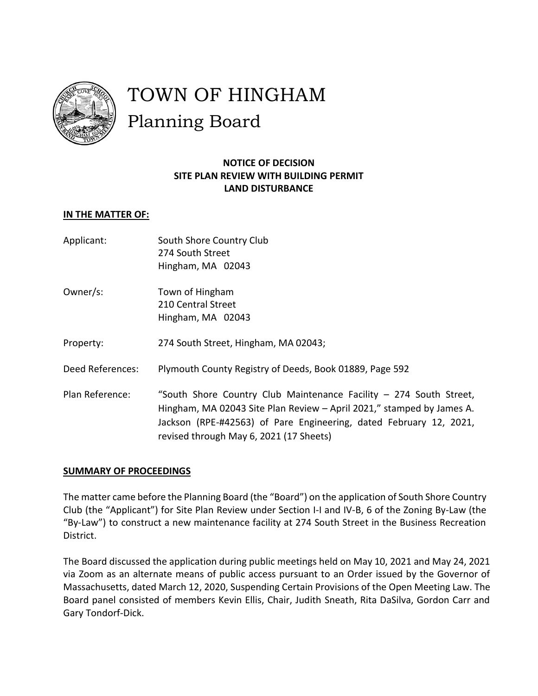

# TOWN OF HINGHAM Planning Board

## **NOTICE OF DECISION SITE PLAN REVIEW WITH BUILDING PERMIT LAND DISTURBANCE**

#### **IN THE MATTER OF:**

- Applicant: South Shore Country Club 274 South Street Hingham, MA 02043
- Owner/s: Town of Hingham 210 Central Street Hingham, MA 02043
- Property: 274 South Street, Hingham, MA 02043;
- Deed References: Plymouth County Registry of Deeds, Book 01889, Page 592
- Plan Reference: "South Shore Country Club Maintenance Facility 274 South Street, Hingham, MA 02043 Site Plan Review – April 2021," stamped by James A. Jackson (RPE-#42563) of Pare Engineering, dated February 12, 2021, revised through May 6, 2021 (17 Sheets)

#### **SUMMARY OF PROCEEDINGS**

The matter came before the Planning Board (the "Board") on the application of South Shore Country Club (the "Applicant") for Site Plan Review under Section I-I and IV-B, 6 of the Zoning By-Law (the "By-Law") to construct a new maintenance facility at 274 South Street in the Business Recreation District.

The Board discussed the application during public meetings held on May 10, 2021 and May 24, 2021 via Zoom as an alternate means of public access pursuant to an Order issued by the Governor of Massachusetts, dated March 12, 2020, Suspending Certain Provisions of the Open Meeting Law. The Board panel consisted of members Kevin Ellis, Chair, Judith Sneath, Rita DaSilva, Gordon Carr and Gary Tondorf-Dick.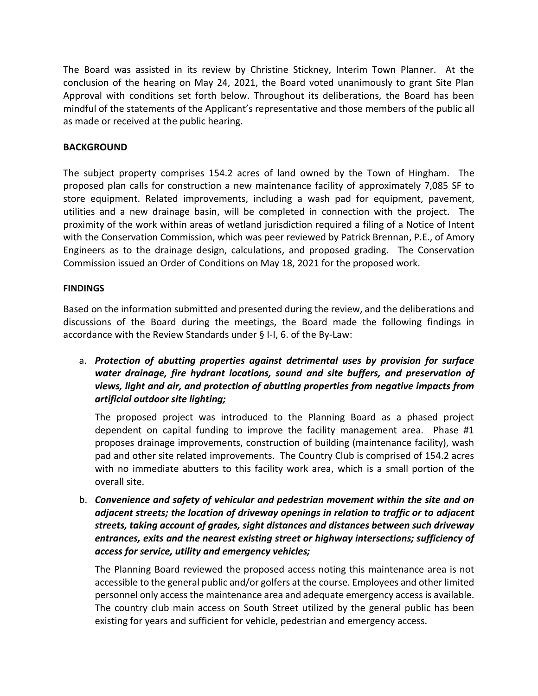The Board was assisted in its review by Christine Stickney, Interim Town Planner. At the conclusion of the hearing on May 24, 2021, the Board voted unanimously to grant Site Plan Approval with conditions set forth below. Throughout its deliberations, the Board has been mindful of the statements of the Applicant's representative and those members of the public all as made or received at the public hearing.

#### **BACKGROUND**

The subject property comprises 154.2 acres of land owned by the Town of Hingham. The proposed plan calls for construction a new maintenance facility of approximately 7,085 SF to store equipment. Related improvements, including a wash pad for equipment, pavement, utilities and a new drainage basin, will be completed in connection with the project. The proximity of the work within areas of wetland jurisdiction required a filing of a Notice of Intent with the Conservation Commission, which was peer reviewed by Patrick Brennan, P.E., of Amory Engineers as to the drainage design, calculations, and proposed grading. The Conservation Commission issued an Order of Conditions on May 18, 2021 for the proposed work.

#### **FINDINGS**

Based on the information submitted and presented during the review, and the deliberations and discussions of the Board during the meetings, the Board made the following findings in accordance with the Review Standards under § I-I, 6. of the By-Law:

a. *Protection of abutting properties against detrimental uses by provision for surface water drainage, fire hydrant locations, sound and site buffers, and preservation of views, light and air, and protection of abutting properties from negative impacts from artificial outdoor site lighting;*

The proposed project was introduced to the Planning Board as a phased project dependent on capital funding to improve the facility management area. Phase #1 proposes drainage improvements, construction of building (maintenance facility), wash pad and other site related improvements. The Country Club is comprised of 154.2 acres with no immediate abutters to this facility work area, which is a small portion of the overall site.

b. *Convenience and safety of vehicular and pedestrian movement within the site and on adjacent streets; the location of driveway openings in relation to traffic or to adjacent streets, taking account of grades, sight distances and distances between such driveway entrances, exits and the nearest existing street or highway intersections; sufficiency of access for service, utility and emergency vehicles;*

The Planning Board reviewed the proposed access noting this maintenance area is not accessible to the general public and/or golfers at the course. Employees and other limited personnel only access the maintenance area and adequate emergency access is available. The country club main access on South Street utilized by the general public has been existing for years and sufficient for vehicle, pedestrian and emergency access.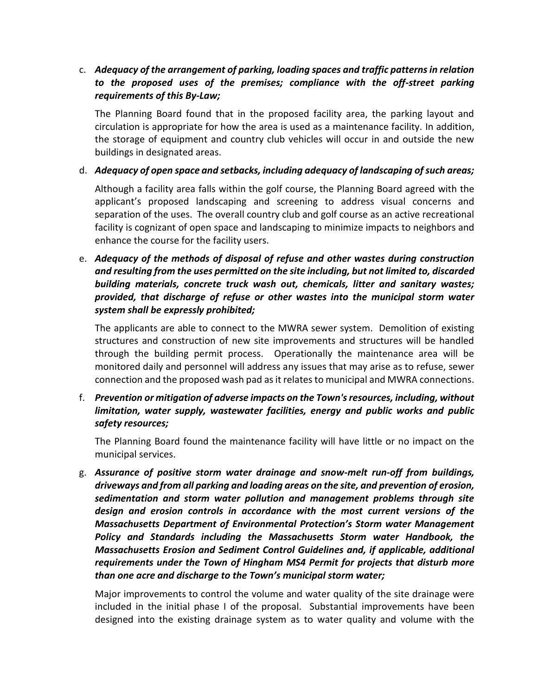### c. *Adequacy of the arrangement of parking, loading spaces and traffic patterns in relation*  to the proposed uses of the premises; compliance with the off-street parking *requirements of this By-Law;*

The Planning Board found that in the proposed facility area, the parking layout and circulation is appropriate for how the area is used as a maintenance facility. In addition, the storage of equipment and country club vehicles will occur in and outside the new buildings in designated areas.

#### d. *Adequacy of open space and setbacks, including adequacy of landscaping of such areas;*

Although a facility area falls within the golf course, the Planning Board agreed with the applicant's proposed landscaping and screening to address visual concerns and separation of the uses. The overall country club and golf course as an active recreational facility is cognizant of open space and landscaping to minimize impacts to neighbors and enhance the course for the facility users.

e. *Adequacy of the methods of disposal of refuse and other wastes during construction and resulting from the uses permitted on the site including, but not limited to, discarded building materials, concrete truck wash out, chemicals, litter and sanitary wastes; provided, that discharge of refuse or other wastes into the municipal storm water system shall be expressly prohibited;*

The applicants are able to connect to the MWRA sewer system. Demolition of existing structures and construction of new site improvements and structures will be handled through the building permit process. Operationally the maintenance area will be monitored daily and personnel will address any issues that may arise as to refuse, sewer connection and the proposed wash pad as it relates to municipal and MWRA connections.

f. *Prevention or mitigation of adverse impacts on the Town's resources, including, without limitation, water supply, wastewater facilities, energy and public works and public safety resources;*

The Planning Board found the maintenance facility will have little or no impact on the municipal services.

g. *Assurance of positive storm water drainage and snow-melt run-off from buildings, driveways and from all parking and loading areas on the site, and prevention of erosion, sedimentation and storm water pollution and management problems through site design and erosion controls in accordance with the most current versions of the Massachusetts Department of Environmental Protection's Storm water Management Policy and Standards including the Massachusetts Storm water Handbook, the Massachusetts Erosion and Sediment Control Guidelines and, if applicable, additional requirements under the Town of Hingham MS4 Permit for projects that disturb more than one acre and discharge to the Town's municipal storm water;*

Major improvements to control the volume and water quality of the site drainage were included in the initial phase I of the proposal. Substantial improvements have been designed into the existing drainage system as to water quality and volume with the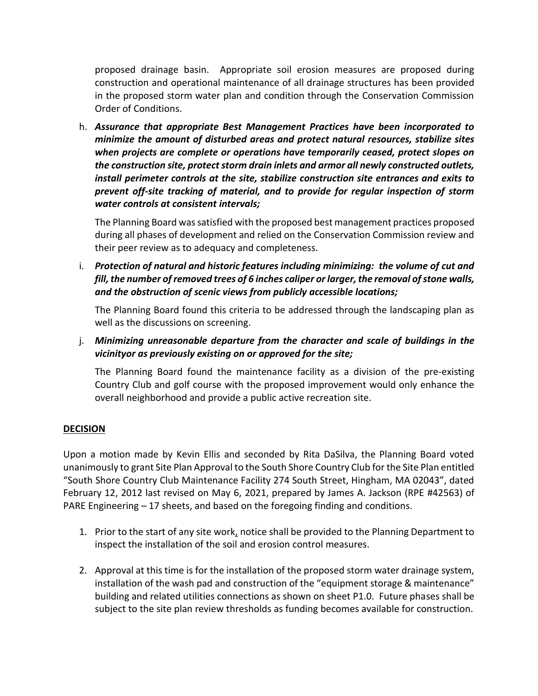proposed drainage basin. Appropriate soil erosion measures are proposed during construction and operational maintenance of all drainage structures has been provided in the proposed storm water plan and condition through the Conservation Commission Order of Conditions.

h. *Assurance that appropriate Best Management Practices have been incorporated to minimize the amount of disturbed areas and protect natural resources, stabilize sites when projects are complete or operations have temporarily ceased, protect slopes on the construction site, protect storm drain inlets and armor all newly constructed outlets, install perimeter controls at the site, stabilize construction site entrances and exits to prevent off-site tracking of material, and to provide for regular inspection of storm water controls at consistent intervals;*

The Planning Board was satisfied with the proposed best management practices proposed during all phases of development and relied on the Conservation Commission review and their peer review as to adequacy and completeness.

i. *Protection of natural and historic features including minimizing: the volume of cut and fill, the number of removed trees of 6 inches caliper or larger, the removal of stone walls, and the obstruction of scenic views from publicly accessible locations;*

The Planning Board found this criteria to be addressed through the landscaping plan as well as the discussions on screening.

j.*Minimizing unreasonable departure from the character and scale of buildings in the vicinityor as previously existing on or approved for the site;*

The Planning Board found the maintenance facility as a division of the pre-existing Country Club and golf course with the proposed improvement would only enhance the overall neighborhood and provide a public active recreation site.

#### **DECISION**

Upon a motion made by Kevin Ellis and seconded by Rita DaSilva, the Planning Board voted unanimously to grant Site Plan Approval to the South Shore Country Club for the Site Plan entitled "South Shore Country Club Maintenance Facility 274 South Street, Hingham, MA 02043", dated February 12, 2012 last revised on May 6, 2021, prepared by James A. Jackson (RPE #42563) of PARE Engineering – 17 sheets, and based on the foregoing finding and conditions.

- 1. Prior to the start of any site work, notice shall be provided to the Planning Department to inspect the installation of the soil and erosion control measures.
- 2. Approval at this time is for the installation of the proposed storm water drainage system, installation of the wash pad and construction of the "equipment storage & maintenance" building and related utilities connections as shown on sheet P1.0. Future phases shall be subject to the site plan review thresholds as funding becomes available for construction.